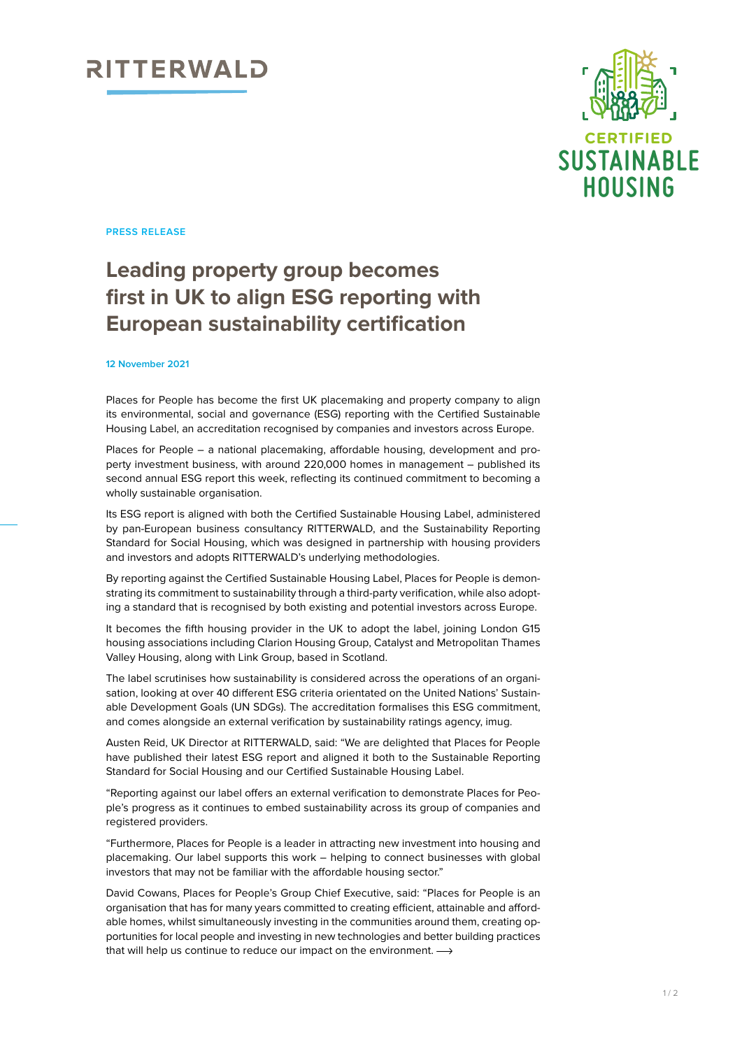## RITTERWALD



**PRESS RELEASE**

### **Leading property group becomes first in UK to align ESG reporting with European sustainability certification**

#### **12 November 2021**

Places for People has become the first UK placemaking and property company to align its environmental, social and governance (ESG) reporting with the Certified Sustainable Housing Label, an accreditation recognised by companies and investors across Europe.

Places for People – a national placemaking, affordable housing, development and property investment business, with around 220,000 homes in management – published its second annual ESG report this week, reflecting its continued commitment to becoming a wholly sustainable organisation.

Its ESG report is aligned with both the Certified Sustainable Housing Label, administered by pan-European business consultancy RITTERWALD, and the Sustainability Reporting Standard for Social Housing, which was designed in partnership with housing providers and investors and adopts RITTERWALD's underlying methodologies.

By reporting against the Certified Sustainable Housing Label, Places for People is demonstrating its commitment to sustainability through a third-party verification, while also adopting a standard that is recognised by both existing and potential investors across Europe.

It becomes the fifth housing provider in the UK to adopt the label, joining London G15 housing associations including Clarion Housing Group, Catalyst and Metropolitan Thames Valley Housing, along with Link Group, based in Scotland.

The label scrutinises how sustainability is considered across the operations of an organisation, looking at over 40 different ESG criteria orientated on the United Nations' Sustainable Development Goals (UN SDGs). The accreditation formalises this ESG commitment, and comes alongside an external verification by sustainability ratings agency, imug.

Austen Reid, UK Director at RITTERWALD, said: "We are delighted that Places for People have published their latest ESG report and aligned it both to the Sustainable Reporting Standard for Social Housing and our Certified Sustainable Housing Label.

"Reporting against our label offers an external verification to demonstrate Places for People's progress as it continues to embed sustainability across its group of companies and registered providers.

"Furthermore, Places for People is a leader in attracting new investment into housing and placemaking. Our label supports this work – helping to connect businesses with global investors that may not be familiar with the affordable housing sector."

David Cowans, Places for People's Group Chief Executive, said: "Places for People is an organisation that has for many years committed to creating efficient, attainable and affordable homes, whilst simultaneously investing in the communities around them, creating opportunities for local people and investing in new technologies and better building practices that will help us continue to reduce our impact on the environment.  $\longrightarrow$